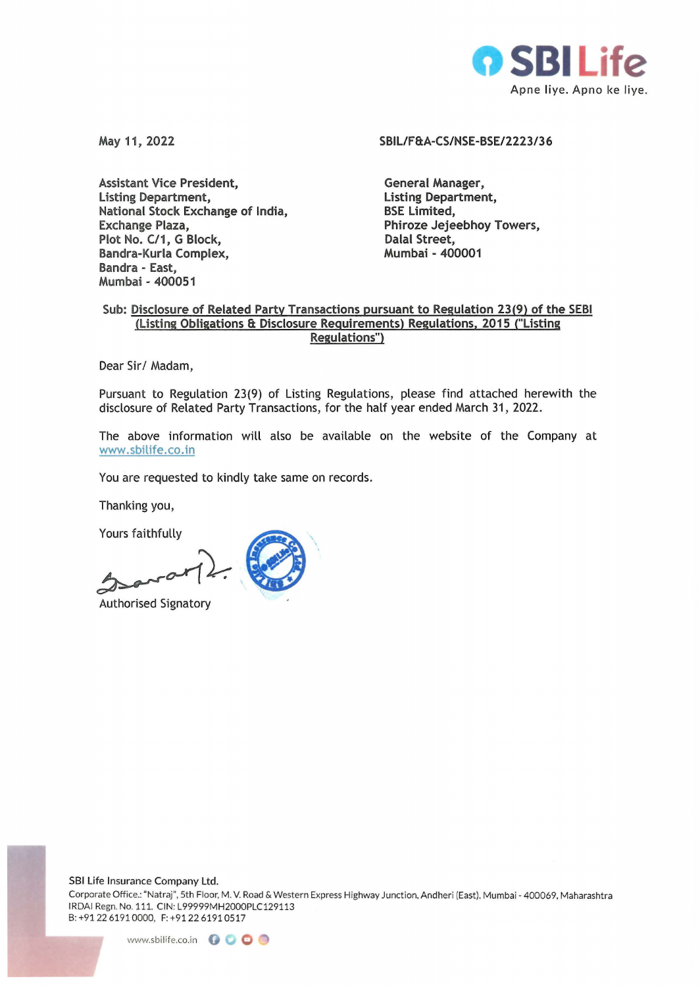

**May 11, 2022** 

**Assistant Vice President, Listing Department, National Stock Exchange of India, Exchange Plaza, Plot No. C/1, G Block, Bandra-Kurla Complex, Bandra - East, Mumbai - 400051** 

## **SBIL/ FS:A-CS/NSE-BSE/2223/3 6**

**General Manager, Listing Department, BSE Limited, Phiroze Jejeebhoy Towers, Dalal Street, Mumbai - 400001** 

# **Sub: Disclosure of Related Party Transactions pursuant to Regulation 23(9) of the SEBI (Listing Obligations 8: Disclosure Requirements) Regulations, 2015 ("Listing Regulations")**

Dear Sir/ Madam,

Pursuant to Regulation 23(9) of Listing Regulations, please find attached herewith the disclosure of Related Party Transactions, for the half year ended March 31, 2022.

The above information will also be available on the website of the Company at www.sbilife.co. in

You are requested to kindly take same on records.

Thanking you,

Yours faithfully

Authorised Signatory

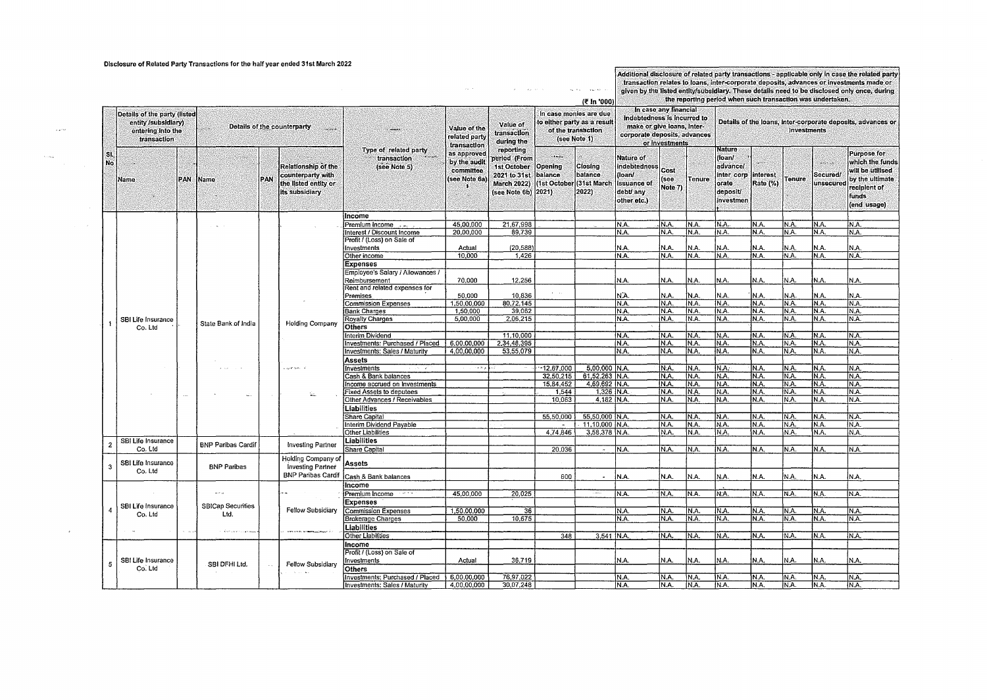### Disclosure of Related Party Transactions for the half year ended 31st March 2022

### Additional disclosure of related party transactions - applicable only in case the related party transaction relates to loans, inter-corporate deposits, advances or investments made or given by the listed entity/subsidiary. These details need to be disclosed only once, during

the reporting period when such transaction was undertaken.

|                |                              |            |                             |               |                               |                                      | the reporting period when such transaction was undertaken.<br>(₹ In '000) |                     |                          |                             |                              |                |               |                      |                                                             |               |          |                    |  |
|----------------|------------------------------|------------|-----------------------------|---------------|-------------------------------|--------------------------------------|---------------------------------------------------------------------------|---------------------|--------------------------|-----------------------------|------------------------------|----------------|---------------|----------------------|-------------------------------------------------------------|---------------|----------|--------------------|--|
|                |                              |            |                             |               |                               |                                      |                                                                           |                     |                          |                             | In case any financial        |                |               |                      |                                                             |               |          |                    |  |
|                | Details of the party (listed |            |                             |               |                               |                                      |                                                                           |                     |                          | In case monies are due      | indebtedness is incurred to  |                |               |                      |                                                             |               |          |                    |  |
|                | entity /subsidiary)          |            |                             |               | Details of the counterparty   |                                      |                                                                           | Value of            |                          | to either party as a result | make or give loans, inter-   |                |               |                      | Details of the loans, inter-corporate deposits, advances or |               |          |                    |  |
|                | entering into the            |            | a.                          |               | <b>Service</b>                |                                      | Value of the                                                              | transaction         |                          | of the transaction          |                              |                |               | <b>Investments</b>   |                                                             |               |          |                    |  |
|                | transaction                  |            |                             |               |                               |                                      | related party                                                             | during the          |                          | (see Note 1)                | corporate deposits, advances |                |               |                      |                                                             |               |          |                    |  |
|                |                              |            |                             |               |                               |                                      | transaction                                                               |                     |                          |                             |                              | or investments |               |                      |                                                             |               |          |                    |  |
| SL.            |                              |            |                             |               |                               | Type of related party                | as approved                                                               | reporting           | i herbe                  |                             |                              |                |               | <b>Nature</b>        |                                                             |               |          | <b>Purpose for</b> |  |
| No.            |                              |            |                             |               |                               | $\epsilon$ where<br>transaction      | by the audit                                                              | period (From        |                          |                             | <b>Nature of</b>             |                |               | <b>floan/</b>        |                                                             |               | $\sim$ . | which the funds    |  |
|                |                              |            |                             |               | <b>Relationship of the</b>    | (see Note 5)                         | committee.                                                                | 1st October         | Opening                  | <b>Closing</b>              | indebtedness                 | Cost           |               | advance/             |                                                             |               |          | will be utilised   |  |
|                |                              |            |                             |               | counterparty with             |                                      |                                                                           | 2021 to 31st        | balance                  | balance                     | (loan/                       |                |               | inter corp linterest |                                                             |               | Secured/ |                    |  |
|                | <b>Mame</b>                  | <b>PAN</b> | <b>Name</b>                 | <b>PAN</b>    | the listed entity or          |                                      | (see Note 6a                                                              | <b>March 2022)</b>  | (1st October (31st March |                             | <b>issuance of</b>           | (see           | <b>Tenure</b> | orate                | Rate (%)                                                    | <b>Tenure</b> | unsecure | by the ultimate    |  |
|                |                              |            |                             |               | its subsidiary                |                                      |                                                                           | (see Note 6b) 2021) |                          | 2022)                       | debt/ anv                    | Note 7)        |               | deposit              |                                                             |               |          | recipient of       |  |
|                |                              |            |                             |               |                               |                                      |                                                                           |                     |                          |                             |                              |                |               |                      |                                                             |               |          | funds              |  |
|                |                              |            |                             |               |                               |                                      |                                                                           |                     |                          |                             | other etc.)                  |                |               | <b>Investmen</b>     |                                                             |               |          | (end usage)        |  |
|                |                              |            |                             |               |                               |                                      |                                                                           |                     |                          |                             |                              |                |               |                      |                                                             |               |          |                    |  |
|                |                              |            |                             |               |                               | Income                               |                                                                           |                     |                          |                             |                              |                |               |                      |                                                             |               |          |                    |  |
|                |                              |            |                             |               |                               | Premium income                       | 45.00.000                                                                 | 21.67.998           |                          |                             | IN A                         | N.A.           | N.A.          | N.A.                 | N.A.                                                        | IN A.         | N.A.     | IN.A.              |  |
|                |                              |            |                             |               |                               | Interest / Discount Income           | 20,00,000                                                                 | 89,739              |                          |                             | N.A.                         | N.A.           | N.A.          | IN.A.                | N.A.                                                        | IN.A.         | N.A.     | IN.A.              |  |
|                |                              |            |                             |               |                               | Profit / (Loss) on Sale of           |                                                                           |                     |                          |                             |                              |                |               |                      |                                                             |               |          |                    |  |
|                |                              |            |                             |               |                               | Investments                          | Actual                                                                    | (20, 588)           |                          |                             | N.A.                         | N.A.           | N.A.          | N.A.                 | N.A.                                                        | ln.a.         | N.A.     | N.A.               |  |
|                |                              |            |                             |               |                               | Other income                         | 10,000                                                                    | 1,426               |                          |                             | N.A.                         | N.A.           | N.A.          | N.A.                 | N.A.                                                        | NA.           | N.A.     | NA.                |  |
|                |                              |            |                             |               |                               | <b>Expenses</b>                      |                                                                           |                     |                          |                             |                              |                |               |                      |                                                             |               |          |                    |  |
|                |                              |            |                             |               |                               | Employee's Salary / Allowances /     |                                                                           |                     |                          |                             |                              |                |               |                      |                                                             |               |          |                    |  |
|                |                              |            |                             |               |                               | Reimbursement                        | 70,000                                                                    | 12,256              |                          |                             | N.A.                         | N.A.           | N.A.          | N.A.                 | N.A.                                                        | N.A.          | N.A.     | IN.A.              |  |
|                |                              |            |                             |               |                               | Rent and related expenses for        |                                                                           |                     |                          |                             |                              |                |               |                      |                                                             |               |          |                    |  |
|                |                              |            |                             |               |                               | Premises                             | 50,000                                                                    | 10,836              |                          |                             | N.A                          | N.A.           | N.A.          | N.A.                 | N.A.                                                        | N.A.          | N.A.     | N.A.               |  |
|                |                              |            |                             |               |                               | <b>Commission Expenses</b>           | 1,50,00,000                                                               | 80.72.145           |                          |                             | N.A.                         | N.A.           | N.A.          | IN.A.                | N.A.                                                        | IN A.         | N.A.     | IN A               |  |
|                |                              |            |                             |               |                               | <b>Bank Charges</b>                  | 1,50,000                                                                  | 39,062              |                          |                             | N.A.                         | NA.            | N.A.          | IN.A.                | N.A.                                                        | IN.A.         | N.A.     | IN.A.              |  |
|                | SBI Life Insurance           |            |                             |               |                               | Royalty Charges                      | 5,00,000                                                                  | 2,06,215            |                          |                             | N.A.                         | N.A.           | N.A.          | N.A.                 | N.A.                                                        | N.A.          | N.A.     | N.A.               |  |
|                | Co. Ltd                      |            | State Bank of India         |               | <b>Holding Company</b>        | Others                               |                                                                           |                     |                          |                             |                              |                |               |                      |                                                             |               |          |                    |  |
|                |                              |            |                             |               |                               | Interim Dividend                     |                                                                           | 11.10.000           |                          |                             | IN.A.                        | N.A.           | NA.           | N.A.                 | N.A.                                                        | NA.           | N.A.     | IN A.              |  |
|                |                              |            |                             |               |                               |                                      |                                                                           |                     |                          |                             | N.A.                         | N.A.           | N.A.          | N.A.                 | N.A.                                                        | IN.A.         | IN.A.    | IN.A.              |  |
|                |                              |            |                             |               |                               | Investments: Purchased / Placed      | 6,00,00,000                                                               | 2,34,48,395         |                          |                             | NA.                          | N.A.           | IN.A.         | IN.A.                |                                                             | N.A.          | N.A.     | IN.A.              |  |
|                |                              |            |                             |               |                               | <b>Investments: Sales / Maturity</b> | 4,00,00,000                                                               | 53,55,079           |                          |                             |                              |                |               |                      | N.A.                                                        |               |          |                    |  |
|                |                              |            |                             |               |                               | Assets                               |                                                                           |                     |                          |                             |                              |                |               |                      |                                                             |               |          |                    |  |
|                |                              |            | $\sim$<br>$x \rightarrow x$ |               | $\mu$ -gain for $\mu$ , $\mu$ | Investments<br>$\rightarrow$         | مر کا ما                                                                  |                     | $-12.67.000$             | 5,00,000 N.A.               |                              | N.A.           | N.A.          | N.A.                 | N.A.                                                        | IN A          | N.A.     | IN A.              |  |
|                |                              |            |                             |               | SS.                           | Cash & Bank balances                 |                                                                           |                     | 32,50,215                | 61.52.263 N.A.              |                              | N.A.           | IN.A.         | N.A.                 | N.A.                                                        | N.A.          | N.A.     | NA.                |  |
|                |                              |            |                             |               |                               | Income accrued on Investments        |                                                                           |                     | 15,84,452                | 4,69,692 N.A.               |                              | N.A.           | IN.A.         | IN.A.                | IN.A.                                                       | IN.A.         | N.A.     | IN.A.              |  |
|                |                              |            |                             |               |                               | <b>Fixed Assets to deputees</b>      |                                                                           |                     | 1.544                    | 1,326   N.A.                |                              | N.A.           | N.A.          | N.A.                 | N.A.                                                        | N.A.          | NA.      | IN.A.              |  |
|                |                              |            |                             |               |                               | Other Advances / Receivables         |                                                                           |                     | 10.063                   | 4,182 N.A.                  |                              | N.A.           | N.A.          | N.A.                 | N.A.                                                        | N.A.          | N.A.     | IN.A.              |  |
|                |                              |            |                             |               |                               | Liabilities                          |                                                                           |                     |                          |                             |                              |                |               |                      |                                                             |               |          |                    |  |
|                |                              |            |                             |               |                               | Share Capital                        |                                                                           |                     | 55.50.000                | 55.50.000 IN.A.             |                              | N.A.           | IN.A.         | N.A.                 | N.A.                                                        | N.A.          | NA.      | IN.A.              |  |
|                |                              |            |                             |               |                               | Interim Dividend Payable             |                                                                           |                     | $\tilde{\phantom{a}}$    | 11,10,000 N.A.              |                              | N.A.           | N.A.          | N.A.                 | N.A.                                                        | NA.           | N.A.     | N.A.               |  |
|                |                              |            |                             |               |                               | <b>Other Liabilities</b>             |                                                                           |                     | 4,74,846                 | 3,58,378 N.A.               |                              | N.A.           | N.A.          | N.A.                 | N.A.                                                        | NA.           | N.A.     | NA.                |  |
|                | SBI Life Insurance           |            |                             |               |                               | <b>Liabilities</b>                   |                                                                           |                     |                          |                             |                              |                |               |                      |                                                             |               |          |                    |  |
| $\overline{2}$ | Co. Ltd                      |            | <b>BNP Paribas Cardit</b>   |               | <b>Investing Partner</b>      |                                      |                                                                           |                     | 20.036                   | $\sim$                      | N.A.                         | N.A.           | N.A.          | N.A.                 | N.A.                                                        | IN.A.         | N.A.     | IN A.              |  |
|                |                              |            |                             |               |                               | <b>Share Capital</b>                 |                                                                           |                     |                          |                             |                              |                |               |                      |                                                             |               |          |                    |  |
|                | SBI Life Insurance           |            |                             |               | Holding Company of            | Asseis                               |                                                                           |                     |                          |                             |                              |                |               |                      |                                                             |               |          |                    |  |
| 3              | Co. Ltd                      |            | <b>BNP Paribas</b>          |               | <b>Investing Partner</b>      |                                      |                                                                           |                     |                          |                             |                              |                |               |                      |                                                             |               |          |                    |  |
|                |                              |            |                             |               | <b>BNP Paribas Cardif</b>     | Cash & Bank balances                 |                                                                           |                     | 600                      |                             | İN.A.                        | N.A.           | N.A.          | N.A.                 | N.A.                                                        | İN.A.         | N.A.     | İN.A.              |  |
|                |                              |            |                             |               |                               | Income                               |                                                                           |                     |                          |                             |                              |                |               |                      |                                                             |               |          |                    |  |
|                |                              |            | $\omega_{\rm{max}}$         |               |                               | Premium Income                       | 45.00.000                                                                 | 20.025              |                          | i se na                     | N.A.                         | N.A.           | N.A.          | NA.                  | N.A.                                                        | N.A.          | N.A.     | N.A.               |  |
|                |                              |            |                             |               |                               |                                      |                                                                           |                     |                          |                             |                              |                |               |                      |                                                             |               |          |                    |  |
|                | SBI Life Insurance           |            | <b>SBICap Securities</b>    |               |                               | Expenses                             |                                                                           |                     |                          |                             |                              |                |               |                      |                                                             |               |          |                    |  |
| 4              | Co. Ltd                      |            | Ltd.                        |               | Fellow Subsidiary             | <b>Commission Expenses</b>           | 1,50,00,000                                                               | 36                  |                          |                             | IN.A.                        | IN.A.          | N.A.          | N.A.                 | N.A.                                                        | IN.A.         | N.A.     | N.A.               |  |
|                |                              |            |                             |               |                               | <b>Brokerage Charges</b>             | 50,000                                                                    | 10,675              |                          |                             | N.A.                         | N.A.           | N.A.          | N.A.                 | N.A.                                                        | N.A.          | N.A.     | N.A.               |  |
|                |                              |            | <b>Andrew Countries</b>     |               | where we do not have a good   | Liabilities                          |                                                                           |                     |                          |                             |                              |                |               |                      |                                                             |               |          |                    |  |
|                |                              |            |                             |               |                               | Other Liabilities                    |                                                                           |                     | 348                      | 3,541 IN.A.                 |                              | N.A.           | N.A.          | N.A.                 | N.A.                                                        | N.A.          | N.A.     | IN.A.              |  |
|                |                              |            |                             |               |                               | Income                               |                                                                           |                     |                          |                             |                              |                |               |                      |                                                             |               |          |                    |  |
|                |                              |            |                             |               |                               | Profit / (Loss) on Sale of           |                                                                           |                     |                          |                             |                              |                |               |                      |                                                             |               |          |                    |  |
|                | SBI Life Insurance           |            |                             | $\sim$ $\sim$ |                               | Investments                          | Actual                                                                    | 36,719              |                          |                             | N.A.                         | N.A.           | IN.A.         | N.A.                 | N.A.                                                        | N.A.          | N.A.     | N.A.               |  |
| 5              | Co. Ltd                      |            | SBI DFHI Ltd.               |               | Fellow Subsidiary             | Others                               |                                                                           |                     |                          |                             |                              |                |               |                      |                                                             |               |          |                    |  |
|                |                              |            |                             |               | All Corporate                 | Investments: Purchased / Placed      | 6,00,00,000                                                               | 76,97,022           |                          |                             | N.A                          | N.A.           | N.A.          | IN.A.                | N.A.                                                        | N.A.          | N.A.     | IN.A.              |  |
|                |                              |            |                             |               |                               | Investments: Sales / Maturity        | 4.00.00.000                                                               | 30,07,248           |                          |                             | N.A                          | NA.            | N.A.          | IN.A.                | N.A.                                                        | IN.A.         | N.A.     | IN.A.              |  |
|                |                              |            |                             |               |                               |                                      |                                                                           |                     |                          |                             |                              |                |               |                      |                                                             |               |          |                    |  |

 $\mathcal{L}_{\text{max}}$  , and  $\mathcal{L}_{\text{max}}$ 

 $\label{eq:12} \mathcal{L}_{\mathbf{q}}(\mathbf{r}_{\mathbf{q}}) = \mathcal{L}_{\mathbf{q}}(\mathbf{r}_{\mathbf{q}}) = \mathcal{L}_{\mathbf{q}}(\mathbf{r}_{\mathbf{q}}) \cdot \mathcal{L}_{\mathbf{r}}$ 

 $\langle\kappa,\omega_{\rm{th}}\rangle$  . in an Sal

 $\sim$ 

 $\sim$   $\omega$  can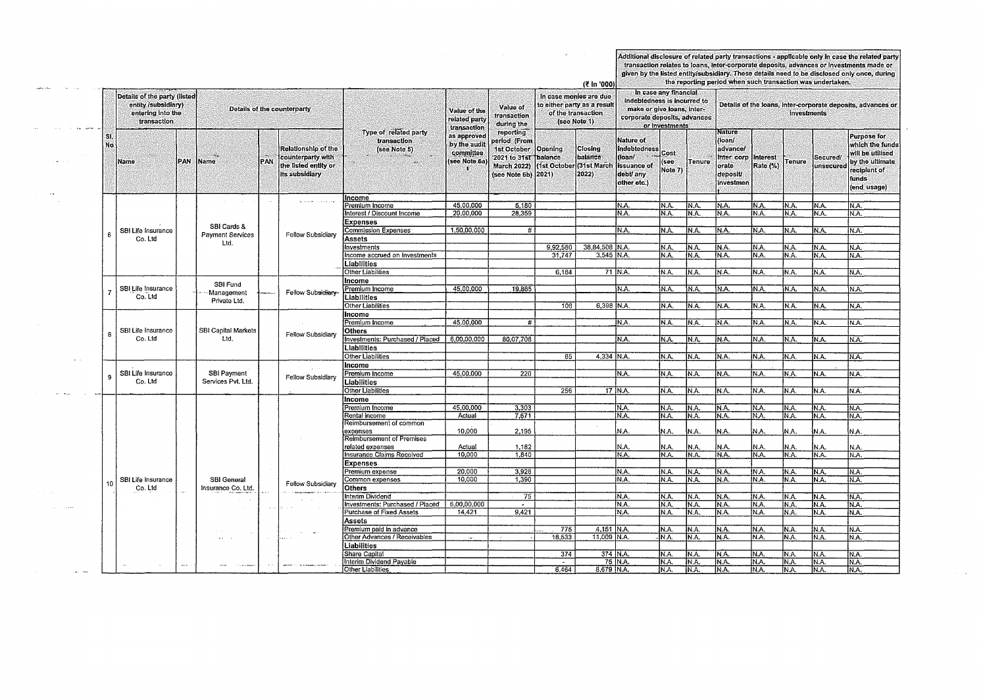Additional disclosure of related party transactions - applicable only in case the related party transaction relates to loans, inter-corporate deposits, advances or investments made or given by the listed entity/subsidiary.

|            |                                                                                         |     |                                 |                                                                                                  |                   |                                                      | the reporting period when such transaction was undertaken.<br>(₹ in '000) |                                                                                                                |                                                                                               |                                                                      |                                                                                                                                      |                         |                |                                                                                    |                             |               |                      |                                                                                                                             |
|------------|-----------------------------------------------------------------------------------------|-----|---------------------------------|--------------------------------------------------------------------------------------------------|-------------------|------------------------------------------------------|---------------------------------------------------------------------------|----------------------------------------------------------------------------------------------------------------|-----------------------------------------------------------------------------------------------|----------------------------------------------------------------------|--------------------------------------------------------------------------------------------------------------------------------------|-------------------------|----------------|------------------------------------------------------------------------------------|-----------------------------|---------------|----------------------|-----------------------------------------------------------------------------------------------------------------------------|
|            | Details of the party (listed<br>entity /subsidiary)<br>entering into the<br>transaction |     | Details of the counterparty     |                                                                                                  |                   |                                                      | Value of the<br>related party<br>transaction                              | Value of<br>transaction<br>during the                                                                          | In case monies are due<br>to either party as a result  <br>of the transaction<br>(see Note 1) |                                                                      | In case any financial<br>indebtedness is incurred to<br>make or give loans, inter-<br>corporate deposits, advances<br>or investments |                         |                | Details of the loans, inter-corporate deposits, advances or<br>investments         |                             |               |                      |                                                                                                                             |
| SI.<br>No. | Name                                                                                    | PAN | Name                            | <b>Relationship of the</b><br>counterparty with<br>PAN<br>the listed entity or<br>its subsidiary |                   | Type of related party<br>transaction<br>(see Note 5) | as approved<br>by the audit<br>committee<br>(see Note 6a)                 | reporting<br>period (From<br>1st October<br>2021 to 31st Dalance<br><b>March 2022)</b><br>(see Note 6b) [2021) | Opening                                                                                       | Closing<br>balance <sup>®</sup><br>(1st October (31st March<br>2022) | <b>Nature of</b><br>Indebtedness<br>(loan/<br><b>Issuance of</b><br>debt/ any<br>other etc.)                                         | Cost<br>(see<br>Note 7) | Tenure         | <b>Nature</b><br>(loan/<br>advancel<br>Inter corp<br>orate<br>deposit<br>investmen | <b>Interest</b><br>Rate (%) | <b>Tenure</b> | Secured/<br>unsecure | <b>Purpose for</b><br>which the funds<br>will be utilised<br>by the ultimate<br>reciplent of<br><b>tunds</b><br>(end usage) |
|            |                                                                                         |     |                                 |                                                                                                  |                   | Income                                               |                                                                           |                                                                                                                |                                                                                               |                                                                      |                                                                                                                                      |                         |                |                                                                                    |                             |               |                      |                                                                                                                             |
|            |                                                                                         |     |                                 |                                                                                                  |                   | Premium Income                                       | 45,00,000                                                                 | 5.180                                                                                                          |                                                                                               |                                                                      | N.A.                                                                                                                                 | N.A.                    | IN.A.          | IN.A.                                                                              | IN.A.                       | N.A.          | N.A.                 | IN A.                                                                                                                       |
|            |                                                                                         |     |                                 |                                                                                                  |                   | Interest / Discount Income                           | 20.00.000                                                                 | 28,359                                                                                                         |                                                                                               |                                                                      | N.A.                                                                                                                                 | N.A.                    | N.A.           | IN A.                                                                              | IN.A.                       | N.A.          | N.A.                 | IN.A.                                                                                                                       |
|            |                                                                                         |     |                                 |                                                                                                  |                   | Expenses                                             |                                                                           |                                                                                                                |                                                                                               |                                                                      |                                                                                                                                      |                         |                |                                                                                    |                             |               |                      |                                                                                                                             |
| 6          | SBI Life Insurance                                                                      |     | SBI Cards &                     |                                                                                                  |                   | <b>Commission Expenses</b>                           | 1,50,00,000                                                               | #                                                                                                              |                                                                                               |                                                                      | N.A.                                                                                                                                 | N.A.                    | IN.A           | IN.A.                                                                              | N.A.                        | N.A.          | IN.A.                | IN.A.                                                                                                                       |
|            | Co. Ltd                                                                                 |     | <b>Payment Services</b><br>Ltd. |                                                                                                  | Fellow Subsidiary | <b>Assets</b>                                        |                                                                           |                                                                                                                |                                                                                               |                                                                      |                                                                                                                                      |                         |                |                                                                                    |                             |               |                      |                                                                                                                             |
|            |                                                                                         |     |                                 |                                                                                                  |                   | <b>Investments</b>                                   |                                                                           |                                                                                                                | 9.92,580                                                                                      | 38.84.508 IN.A.                                                      |                                                                                                                                      | IN.A.                   | IN.A.          | IN.A.                                                                              | N.A.                        | IN.A.         | IN A.                | N.A.                                                                                                                        |
|            |                                                                                         |     |                                 |                                                                                                  |                   | Income accrued on Investments                        |                                                                           |                                                                                                                | 31.747                                                                                        | 3.545 IN.A.                                                          |                                                                                                                                      | NA.                     | IN.A.          | IN.A.                                                                              | N.A.                        | N.A.          | IN.A.                | N.A.                                                                                                                        |
|            |                                                                                         |     |                                 |                                                                                                  |                   | Liabilities                                          |                                                                           |                                                                                                                |                                                                                               |                                                                      |                                                                                                                                      |                         |                |                                                                                    |                             |               |                      |                                                                                                                             |
|            |                                                                                         |     |                                 |                                                                                                  |                   | Other Liabilities                                    |                                                                           |                                                                                                                | 6,184                                                                                         |                                                                      | 71 N.A.                                                                                                                              | N.A.                    | IN.A.          | N.A.                                                                               | N.A.                        | N.A.          | N.A.                 | N.A.                                                                                                                        |
|            |                                                                                         |     |                                 |                                                                                                  |                   | Income                                               |                                                                           |                                                                                                                |                                                                                               |                                                                      |                                                                                                                                      |                         |                |                                                                                    |                             |               |                      |                                                                                                                             |
|            | SBI Life Insurance                                                                      |     | SBI Fund                        |                                                                                                  |                   | Premium Income                                       | 45,00,000                                                                 | 19.865                                                                                                         |                                                                                               |                                                                      | N.A.                                                                                                                                 | N.A.                    | N.A.           | N.A.                                                                               | IN A.                       | NA.           | N.A.                 | IN.A.                                                                                                                       |
|            | Co. Ltd                                                                                 |     | Management                      |                                                                                                  | Fellow Subsidiary | Liabilities                                          |                                                                           |                                                                                                                |                                                                                               |                                                                      |                                                                                                                                      |                         |                |                                                                                    |                             |               |                      |                                                                                                                             |
|            |                                                                                         |     | Private Ltd.                    |                                                                                                  |                   | Other Liabilities                                    |                                                                           |                                                                                                                | 108                                                                                           | $6,398$ N.A.                                                         |                                                                                                                                      | N.A.                    | N.A.           | N.A.                                                                               | N.A.                        | N.A.          | N.A.                 | IN.A.                                                                                                                       |
|            |                                                                                         |     |                                 |                                                                                                  |                   | Income                                               |                                                                           |                                                                                                                |                                                                                               |                                                                      |                                                                                                                                      |                         |                |                                                                                    |                             |               |                      |                                                                                                                             |
|            |                                                                                         |     |                                 |                                                                                                  |                   | Premium Income                                       | 45.00.000                                                                 | #                                                                                                              |                                                                                               |                                                                      | NA.                                                                                                                                  | NÄ.                     | N.A            | IN.A.                                                                              | IN.A.                       | N.A.          | N.A.                 | IN.A.                                                                                                                       |
|            | SBI Life Insurance                                                                      |     | <b>SBI Capital Markets</b>      |                                                                                                  |                   | <b>Others</b>                                        |                                                                           |                                                                                                                |                                                                                               |                                                                      |                                                                                                                                      |                         |                |                                                                                    |                             |               |                      |                                                                                                                             |
| 8          | Co. Ltd                                                                                 |     | Ltd.                            |                                                                                                  | Fellow Subsidiary | Investments: Purchased / Placed                      | 6,00,00,000                                                               | 80,07,708                                                                                                      |                                                                                               |                                                                      | IN.A.                                                                                                                                | N.A.                    | IN.A.          | IN.A.                                                                              | N.A.                        | N.A.          | IN.A.                | IN.A.                                                                                                                       |
|            |                                                                                         |     |                                 |                                                                                                  |                   | Liabilities                                          |                                                                           |                                                                                                                |                                                                                               |                                                                      |                                                                                                                                      |                         |                |                                                                                    |                             |               |                      |                                                                                                                             |
|            |                                                                                         |     |                                 |                                                                                                  |                   | <b>Other Liabilities</b>                             |                                                                           |                                                                                                                | 85                                                                                            | 4,334 N.A.                                                           |                                                                                                                                      | N.A.                    | IN.A.          | IN.A.                                                                              | IN.A.                       | N.A.          | IN.A.                | N.A.                                                                                                                        |
|            |                                                                                         |     |                                 |                                                                                                  |                   | Income                                               |                                                                           |                                                                                                                |                                                                                               |                                                                      |                                                                                                                                      |                         |                |                                                                                    |                             |               |                      |                                                                                                                             |
|            | SBI Life Insurance                                                                      |     | SBI Payment                     |                                                                                                  |                   | Premium Income                                       | 45,00,000                                                                 | 220                                                                                                            |                                                                                               |                                                                      | N.A.                                                                                                                                 | N.A.                    | IN.A.          | IN.A.                                                                              | IN.A.                       | IN.A.         | N.A.                 | N.A.                                                                                                                        |
|            | Co. Ltd                                                                                 |     | Services Pvt. Ltd.              |                                                                                                  | Fellow Subsidiary |                                                      |                                                                           |                                                                                                                |                                                                                               |                                                                      |                                                                                                                                      |                         |                |                                                                                    |                             |               |                      |                                                                                                                             |
|            |                                                                                         |     |                                 |                                                                                                  |                   | Liabilities                                          |                                                                           |                                                                                                                |                                                                                               |                                                                      |                                                                                                                                      |                         |                |                                                                                    |                             |               |                      |                                                                                                                             |
|            |                                                                                         |     |                                 |                                                                                                  |                   | Other Liabilities                                    |                                                                           |                                                                                                                | 256                                                                                           |                                                                      | 17 IN.A.                                                                                                                             | N.A.                    | IN.A.          | N.A.                                                                               | N.A.                        | N.A.          | IN.A.                | IN.A.                                                                                                                       |
|            |                                                                                         |     |                                 |                                                                                                  |                   | Income                                               |                                                                           |                                                                                                                |                                                                                               |                                                                      |                                                                                                                                      |                         |                |                                                                                    |                             |               |                      |                                                                                                                             |
|            |                                                                                         |     |                                 |                                                                                                  |                   | Premium Income                                       | 45,00,000                                                                 | 3,303                                                                                                          |                                                                                               |                                                                      | N.A.                                                                                                                                 | N.A.                    | N.A            | N.A.                                                                               | N.A.                        | N.A.          | N.A.                 | N.A.                                                                                                                        |
|            |                                                                                         |     |                                 |                                                                                                  |                   | Rental income                                        | Actual                                                                    | 7.671                                                                                                          |                                                                                               |                                                                      | N.A.                                                                                                                                 | N.A.                    | İN.A           | N.A.                                                                               | N.A.                        | N.A.          | IN.A.                | IN.A.                                                                                                                       |
|            |                                                                                         |     |                                 |                                                                                                  |                   | Reimbursement of common                              |                                                                           |                                                                                                                |                                                                                               |                                                                      |                                                                                                                                      |                         |                |                                                                                    |                             |               |                      |                                                                                                                             |
|            |                                                                                         |     |                                 |                                                                                                  |                   | expenses<br><b>Reimbursement of Premises</b>         | 10,000                                                                    | 2,195                                                                                                          |                                                                                               |                                                                      | N.A.                                                                                                                                 | NA.                     | N.A.           | N.A.                                                                               | N.A.                        | N.A.          | İN.A.                | İΝA.                                                                                                                        |
|            |                                                                                         |     |                                 |                                                                                                  |                   | related expenses                                     | Actual                                                                    | 1.182                                                                                                          |                                                                                               |                                                                      | N.A.                                                                                                                                 | N.A.                    | İN.A           | IN.A.                                                                              | N.A.                        | N.A.          | N.A.                 |                                                                                                                             |
|            |                                                                                         |     |                                 |                                                                                                  |                   | <b>Insurance Claims Received</b>                     | 10,000                                                                    | 1.840                                                                                                          |                                                                                               |                                                                      | N.A.                                                                                                                                 | N A.                    | IN.A.          | IN.A.                                                                              | N.A.                        | N.A.          | IN.A.                | IN.A.<br>N.A.                                                                                                               |
|            |                                                                                         |     |                                 |                                                                                                  |                   | <b>Expenses</b>                                      |                                                                           |                                                                                                                |                                                                                               |                                                                      |                                                                                                                                      |                         |                |                                                                                    |                             |               |                      |                                                                                                                             |
|            |                                                                                         |     |                                 |                                                                                                  |                   |                                                      | 20,000                                                                    | 3,928                                                                                                          |                                                                                               |                                                                      | N.A.                                                                                                                                 | N.A.                    |                | N.A.                                                                               | IN.A.                       |               |                      |                                                                                                                             |
|            | SBI Life Insurance                                                                      |     | SBI General                     |                                                                                                  |                   | Premium expense<br>Common expenses                   | 10.000                                                                    | 1,390                                                                                                          |                                                                                               |                                                                      | IN A.                                                                                                                                | N.A.                    | IN.A.<br>İN A. | IN.A.                                                                              | N.A.                        | IN.A.<br>N.A. | N.A.<br>NA.          | IN.A.<br>N.A.                                                                                                               |
|            | Co. Ltd                                                                                 |     | Insurance Co. Ltd.              |                                                                                                  | Fellow Subsidiary | <b>Others</b>                                        |                                                                           |                                                                                                                |                                                                                               |                                                                      |                                                                                                                                      |                         |                |                                                                                    |                             |               |                      |                                                                                                                             |
|            |                                                                                         |     |                                 |                                                                                                  |                   | Interim Dividend                                     |                                                                           | $\overline{75}$                                                                                                |                                                                                               |                                                                      | IN A.                                                                                                                                |                         |                |                                                                                    |                             |               |                      |                                                                                                                             |
|            |                                                                                         |     |                                 |                                                                                                  |                   | Investments: Purchased / Placed                      | 6,00,00,000                                                               |                                                                                                                |                                                                                               |                                                                      | N.A.                                                                                                                                 | N.A.<br>N.A.            | IN.A.<br>IN.A. | N.A.<br>NA.                                                                        | IN.A.<br>N.A                | N.A.          | IN.A.<br>IN A.       | N.A.                                                                                                                        |
|            |                                                                                         |     |                                 | $\Delta$ .                                                                                       |                   | Purchase of Fixed Assets                             | 14,421                                                                    | $\sim$<br>9,421                                                                                                |                                                                                               |                                                                      | N.A.                                                                                                                                 | N.A.                    | IN.A.          | N.A.                                                                               | IN.A.                       | IN.A.<br>N.A. | IN.A.                | N.A.<br>N.A.                                                                                                                |
|            |                                                                                         |     |                                 |                                                                                                  |                   |                                                      |                                                                           |                                                                                                                |                                                                                               |                                                                      |                                                                                                                                      |                         |                |                                                                                    |                             |               |                      |                                                                                                                             |
|            |                                                                                         |     |                                 |                                                                                                  |                   | Assets                                               |                                                                           |                                                                                                                |                                                                                               |                                                                      |                                                                                                                                      |                         |                |                                                                                    |                             |               |                      |                                                                                                                             |
|            |                                                                                         |     |                                 |                                                                                                  |                   | Premium paid in advance                              |                                                                           |                                                                                                                | 775                                                                                           | 4.151 N.A.                                                           |                                                                                                                                      | N.A.                    | IN A           | NA.                                                                                | N.A.                        | N.A.          | IN.A.                | N.A.                                                                                                                        |
|            |                                                                                         |     |                                 |                                                                                                  |                   | Other Advances / Receivables                         | ewe.                                                                      |                                                                                                                | 18,533                                                                                        | 11.009 N.A.                                                          |                                                                                                                                      | N.A.                    | IN.A.          | N.A.                                                                               | N.A.                        | N.A.          | N.A.                 | N.A.                                                                                                                        |
|            |                                                                                         |     |                                 |                                                                                                  |                   | Liabilities                                          |                                                                           |                                                                                                                |                                                                                               |                                                                      |                                                                                                                                      |                         |                |                                                                                    |                             |               |                      |                                                                                                                             |
|            |                                                                                         |     |                                 |                                                                                                  |                   | Share Capital                                        |                                                                           |                                                                                                                | 374                                                                                           | 374 N.A.                                                             |                                                                                                                                      | N.A.                    | IN.A           | IN.A.                                                                              | N.A.                        | IN.A          | IN.A.                | IN.A.                                                                                                                       |
|            |                                                                                         |     |                                 |                                                                                                  |                   | Interim Dividend Payable                             |                                                                           |                                                                                                                |                                                                                               | 8,679 IN.A.                                                          | 75 N.A.                                                                                                                              | N.A.                    | IN.A           | IN.A.                                                                              | N.A.                        | N.A.          | N.A.                 | N.A.                                                                                                                        |
|            |                                                                                         |     |                                 |                                                                                                  |                   | Other Liabilities                                    |                                                                           |                                                                                                                | 6.464                                                                                         |                                                                      |                                                                                                                                      | IN.A.                   | IN.A.          | N.A.                                                                               | N.A.                        | IN.A.         | N.A.                 | IN.A.                                                                                                                       |